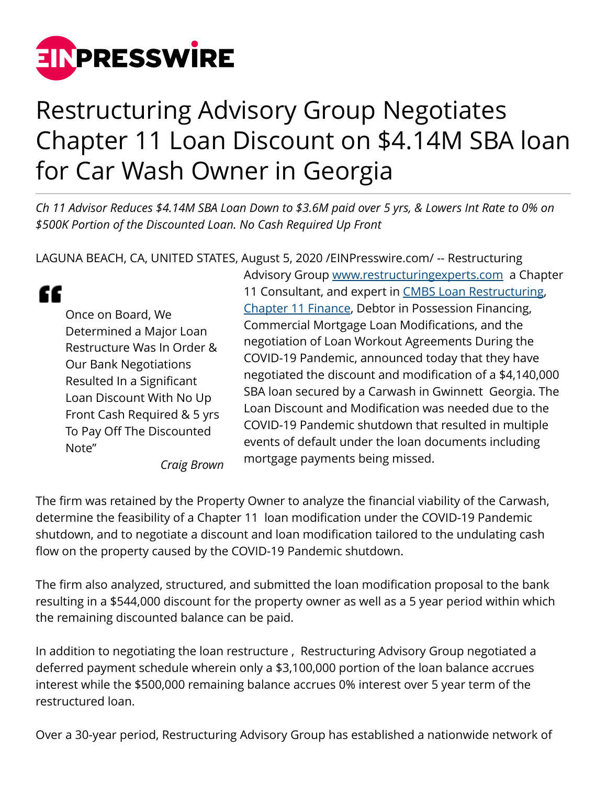

## Restructuring Advisory Group Negotiates Chapter 11 Loan Discount on \$4.14M SBA loan for Car Wash Owner in Georgia

*Ch 11 Advisor Reduces \$4.14M SBA Loan Down to \$3.6M paid over 5 yrs, & Lowers Int Rate to 0% on \$500K Portion of the Discounted Loan. No Cash Required Up Front*

LAGUNA BEACH, CA, UNITED STATES, August 5, 2020 [/EINPresswire.com](http://www.einpresswire.com)/ -- Restructuring

" Once on Board, We Determined a Major Loan Restructure Was In Order & Our Bank Negotiations Resulted In a Significant Loan Discount With No Up Front Cash Required & 5 yrs To Pay Off The Discounted Note"

Advisory Group [www.restructuringexperts.com](http://www.restructuringexperts.com) a Chapter 11 Consultant, and expert in [CMBS Loan Restructuring,](http://restructuringexperts.com/cmbs-loan-restructures/) [Chapter 11 Finance,](http://restructuringexperts.com/refinancings/) Debtor in Possession Financing, Commercial Mortgage Loan Modifications, and the negotiation of Loan Workout Agreements During the COVID-19 Pandemic, announced today that they have negotiated the discount and modification of a \$4,140,000 SBA loan secured by a Carwash in Gwinnett Georgia. The Loan Discount and Modification was needed due to the COVID-19 Pandemic shutdown that resulted in multiple events of default under the loan documents including mortgage payments being missed.

*Craig Brown*

The firm was retained by the Property Owner to analyze the financial viability of the Carwash, determine the feasibility of a Chapter 11 loan modification under the COVID-19 Pandemic shutdown, and to negotiate a discount and loan modification tailored to the undulating cash flow on the property caused by the COVID-19 Pandemic shutdown.

The firm also analyzed, structured, and submitted the loan modification proposal to the bank resulting in a \$544,000 discount for the property owner as well as a 5 year period within which the remaining discounted balance can be paid.

In addition to negotiating the loan restructure , Restructuring Advisory Group negotiated a deferred payment schedule wherein only a \$3,100,000 portion of the loan balance accrues interest while the \$500,000 remaining balance accrues 0% interest over 5 year term of the restructured loan.

Over a 30-year period, Restructuring Advisory Group has established a nationwide network of